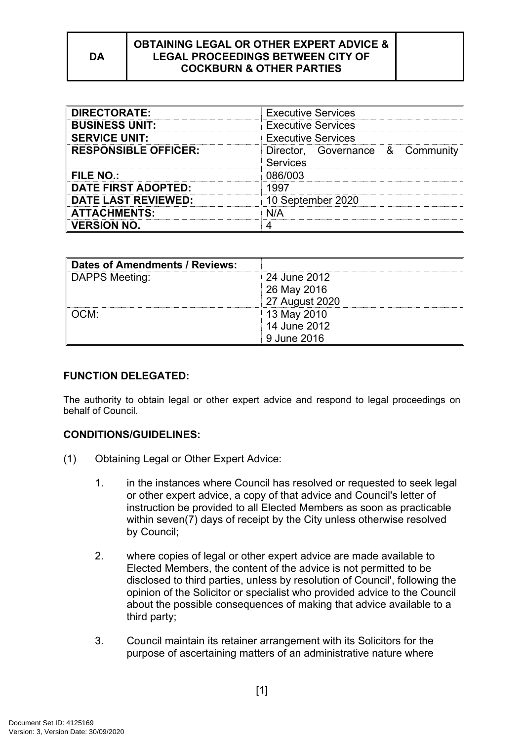| <b>DIRECTORATE:</b>         | <b>Executive Services</b>                           |
|-----------------------------|-----------------------------------------------------|
| <b>BUSINESS UNIT:</b>       | <b>Executive Services</b>                           |
| <b>SERVICE UNIT:</b>        | <b>Executive Services</b>                           |
| <b>RESPONSIBLE OFFICER:</b> | Director, Governance & Community<br><b>Services</b> |
| <b>FILE NO.:</b>            | 086/003                                             |
| <b>DATE FIRST ADOPTED:</b>  | 1997                                                |
| <b>DATE LAST REVIEWED:</b>  | 10 September 2020                                   |
| <b>ATTACHMENTS:</b>         | N/A                                                 |
| <b>VERSION NO.</b>          |                                                     |

| Dates of Amendments / Reviews: |                |
|--------------------------------|----------------|
| DAPPS Meeting:                 | 24 June 2012   |
|                                | 26 May 2016    |
|                                | 27 August 2020 |
| ∥ OCM:                         | 13 May 2010    |
|                                | 14 June 2012   |
|                                | 9 June 2016    |

### **FUNCTION DELEGATED:**

The authority to obtain legal or other expert advice and respond to legal proceedings on behalf of Council.

#### **CONDITIONS/GUIDELINES:**

- (1) Obtaining Legal or Other Expert Advice:
	- 1. in the instances where Council has resolved or requested to seek legal or other expert advice, a copy of that advice and Council's letter of instruction be provided to all Elected Members as soon as practicable within seven(7) days of receipt by the City unless otherwise resolved by Council;
	- 2. where copies of legal or other expert advice are made available to Elected Members, the content of the advice is not permitted to be disclosed to third parties, unless by resolution of Council', following the opinion of the Solicitor or specialist who provided advice to the Council about the possible consequences of making that advice available to a third party;
	- 3. Council maintain its retainer arrangement with its Solicitors for the purpose of ascertaining matters of an administrative nature where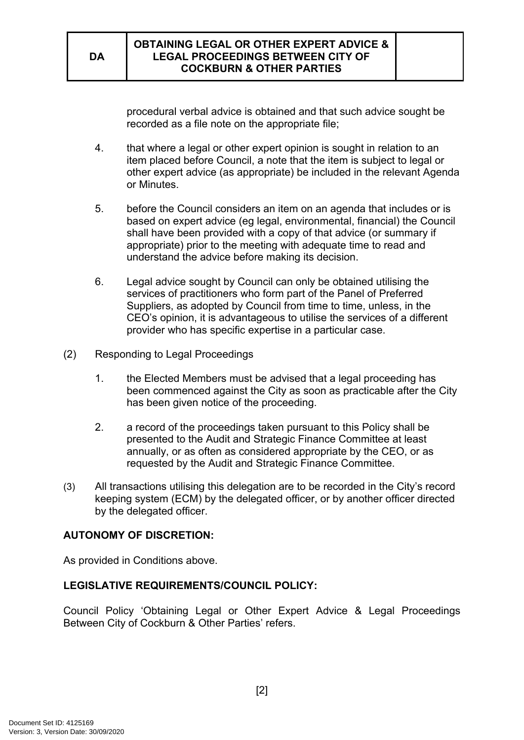procedural verbal advice is obtained and that such advice sought be recorded as a file note on the appropriate file;

- 4. that where a legal or other expert opinion is sought in relation to an item placed before Council, a note that the item is subject to legal or other expert advice (as appropriate) be included in the relevant Agenda or Minutes.
- 5. before the Council considers an item on an agenda that includes or is based on expert advice (eg legal, environmental, financial) the Council shall have been provided with a copy of that advice (or summary if appropriate) prior to the meeting with adequate time to read and understand the advice before making its decision.
- 6. Legal advice sought by Council can only be obtained utilising the services of practitioners who form part of the Panel of Preferred Suppliers, as adopted by Council from time to time, unless, in the CEO's opinion, it is advantageous to utilise the services of a different provider who has specific expertise in a particular case.
- (2) Responding to Legal Proceedings
	- 1. the Elected Members must be advised that a legal proceeding has been commenced against the City as soon as practicable after the City has been given notice of the proceeding.
	- 2. a record of the proceedings taken pursuant to this Policy shall be presented to the Audit and Strategic Finance Committee at least annually, or as often as considered appropriate by the CEO, or as requested by the Audit and Strategic Finance Committee.
- (3) All transactions utilising this delegation are to be recorded in the City's record keeping system (ECM) by the delegated officer, or by another officer directed by the delegated officer.

# **AUTONOMY OF DISCRETION:**

As provided in Conditions above.

# **LEGISLATIVE REQUIREMENTS/COUNCIL POLICY:**

Council Policy 'Obtaining Legal or Other Expert Advice & Legal Proceedings Between City of Cockburn & Other Parties' refers.